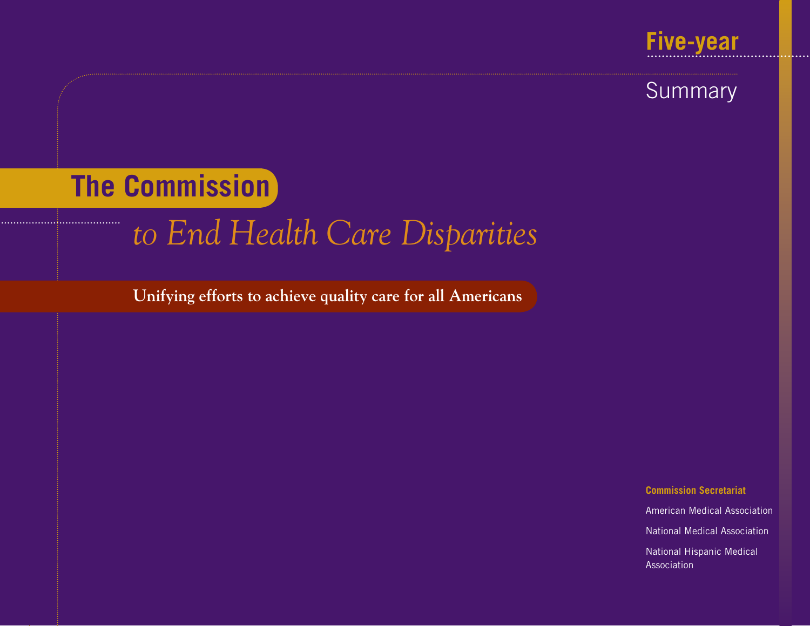

# Summary

# **The Commission**

# *to End Health Care Disparities*

**Unifying efforts to achieve quality care for all Americans**

**Commission Secretariat** American Medical Association National Medical Association National Hispanic Medical Association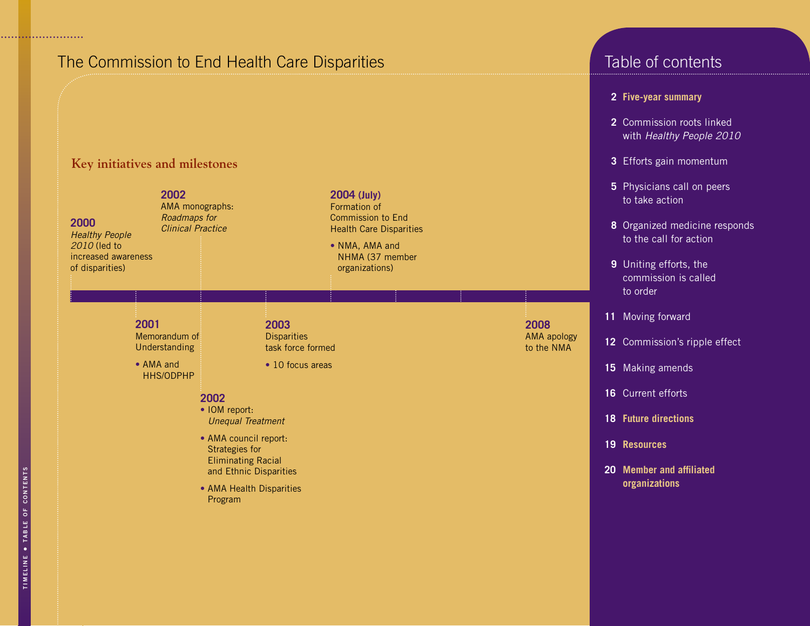# The Commission to End Health Care Disparities Table of Contents Table of contents

#### **Key initiatives and milestones**



Program

#### **2 Five-year summary**

- **2** Commission roots linked with *Healthy People 2010*
- **3** Efforts gain momentum
- **5** Physicians call on peers to take action
- **8** Organized medicine responds to the call for action
- **9** Uniting efforts, the commission is called to order
- **11** Moving forward

**2008** AMA apology to the NMA

- **12** Commission's ripple effect
- **15** Making amends
- **16** Current efforts
- **18 Future directions**
- **19 Resources**
- **20 Member and affiliated organizations**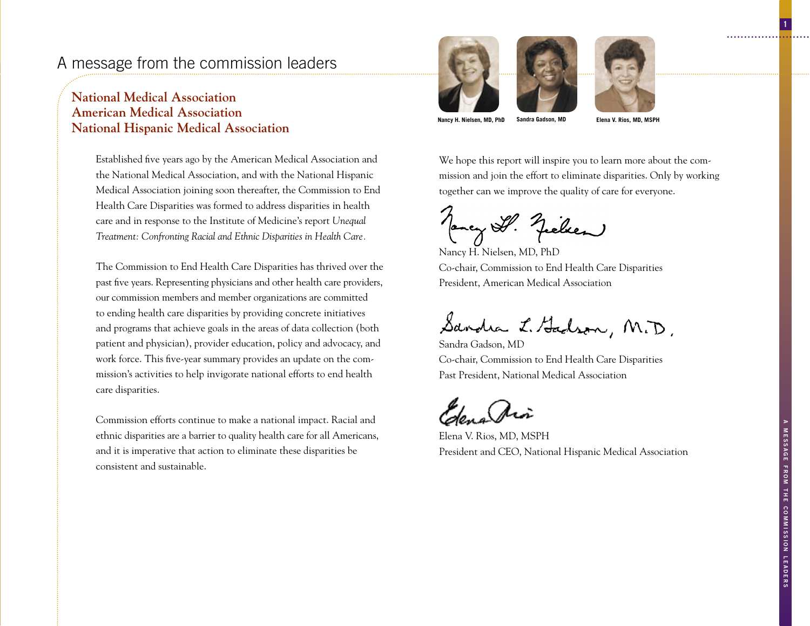### A message from the commission leaders

#### **National Medical Association American Medical Association National Hispanic Medical Association**

Established five years ago by the American Medical Association and the National Medical Association, and with the National Hispanic Medical Association joining soon thereafter, the Commission to End Health Care Disparities was formed to address disparities in health care and in response to the Institute of Medicine's report *Unequal Treatment: Confronting Racial and Ethnic Disparities in Health Care.* 

The Commission to End Health Care Disparities has thrived over the past five years. Representing physicians and other health care providers, our commission members and member organizations are committed to ending health care disparities by providing concrete initiatives and programs that achieve goals in the areas of data collection (both patient and physician), provider education, policy and advocacy, and work force. This five-year summary provides an update on the commission's activities to help invigorate national efforts to end health care disparities.

Commission efforts continue to make a national impact. Racial and ethnic disparities are a barrier to quality health care for all Americans, and it is imperative that action to eliminate these disparities be consistent and sustainable.







**Nancy H. Nielsen, MD, PhD Sandra Gadson, MD**

**Elena V. Rios, MD, MSPH**

We hope this report will inspire you to learn more about the commission and join the effort to eliminate disparities. Only by working together can we improve the quality of care for everyone.

Nancy H. Nielsen, MD, PhD

Co-chair, Commission to End Health Care Disparities President, American Medical Association

Sandra L. Gadson, M.D.

Sandra Gadson, MD Co-chair, Commission to End Health Care Disparities Past President, National Medical Association

Elena V. Rios, MD, MSPH President and CEO, National Hispanic Medical Association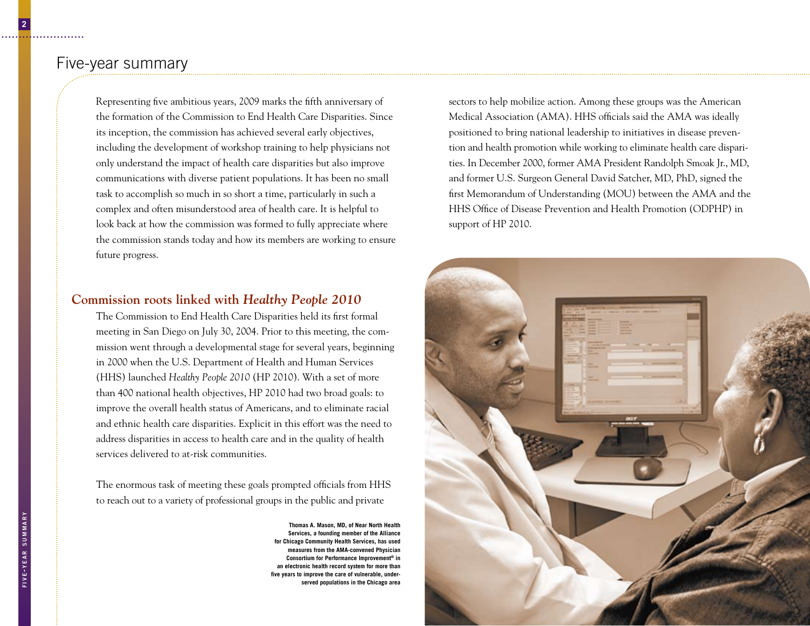# Five-year summary

Representing five ambitious years, 2009 marks the fifth anniversary of the formation of the Commission to End Health Care Disparities. Since its inception, the commission has achieved several early objectives, including the development of workshop training to help physicians not only understand the impact of health care disparities but also improve communications with diverse patient populations. It has been no small task to accomplish so much in so short a time, particularly in such a complex and often misunderstood area of health care. It is helpful to look back at how the commission was formed to fully appreciate where the commission stands today and how its members are working to ensure future progress.

#### **Commission roots linked with** *Healthy People 2010*

The Commission to End Health Care Disparities held its first formal meeting in San Diego on July 30, 2004. Prior to this meeting, the commission went through a developmental stage for several years, beginning in 2000 when the U.S. Department of Health and Human Services (HHS) launched *Healthy People 2010* (HP 2010). With a set of more than 400 national health objectives, HP 2010 had two broad goals: to improve the overall health status of Americans, and to eliminate racial and ethnic health care disparities. Explicit in this effort was the need to address disparities in access to health care and in the quality of health services delivered to at-risk communities.

The enormous task of meeting these goals prompted officials from HHS to reach out to a variety of professional groups in the public and private

> **Thomas A. Mason, MD, of Near North Health Services, a founding member of the Alliance for Chicago Community Health Services, has used measures from the AMA-convened Physician Consortium for Performance Improvement® in an electronic health record system for more than five years to improve the care of vulnerable, underserved populations in the Chicago area**

sectors to help mobilize action. Among these groups was the American Medical Association (AMA). HHS officials said the AMA was ideally positioned to bring national leadership to initiatives in disease prevention and health promotion while working to eliminate health care disparities. In December 2000, former AMA President Randolph Smoak Jr., MD, and former U.S. Surgeon General David Satcher, MD, PhD, signed the first Memorandum of Understanding (MOU) between the AMA and the HHS Office of Disease Prevention and Health Promotion (ODPHP) in support of HP 2010.

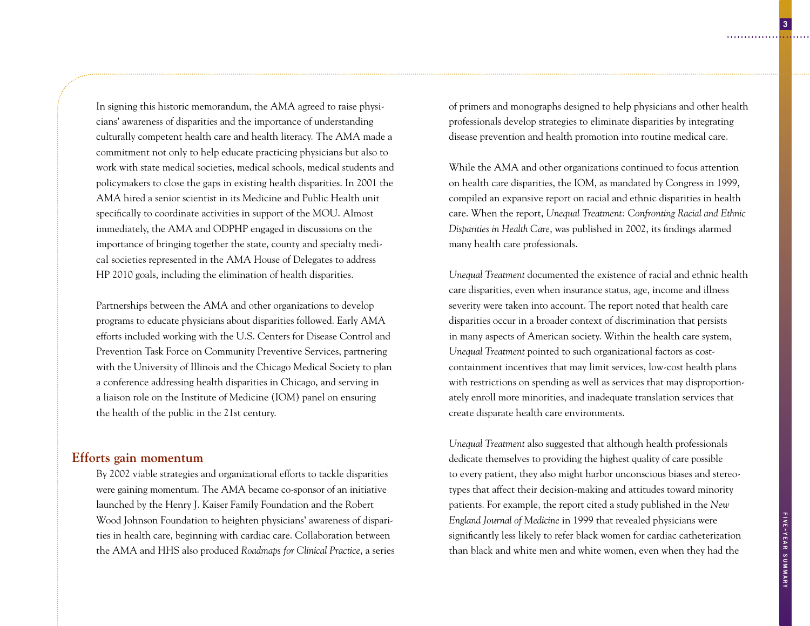In signing this historic memorandum, the AMA agreed to raise physicians' awareness of disparities and the importance of understanding culturally competent health care and health literacy. The AMA made a commitment not only to help educate practicing physicians but also to work with state medical societies, medical schools, medical students and policymakers to close the gaps in existing health disparities. In 2001 the AMA hired a senior scientist in its Medicine and Public Health unit specifically to coordinate activities in support of the MOU. Almost immediately, the AMA and ODPHP engaged in discussions on the importance of bringing together the state, county and specialty medical societies represented in the AMA House of Delegates to address HP 2010 goals, including the elimination of health disparities.

Partnerships between the AMA and other organizations to develop programs to educate physicians about disparities followed. Early AMA efforts included working with the U.S. Centers for Disease Control and Prevention Task Force on Community Preventive Services, partnering with the University of Illinois and the Chicago Medical Society to plan a conference addressing health disparities in Chicago, and serving in a liaison role on the Institute of Medicine (IOM) panel on ensuring the health of the public in the 21st century.

#### **Efforts gain momentum**

By 2002 viable strategies and organizational efforts to tackle disparities were gaining momentum. The AMA became co-sponsor of an initiative launched by the Henry J. Kaiser Family Foundation and the Robert Wood Johnson Foundation to heighten physicians' awareness of disparities in health care, beginning with cardiac care. Collaboration between the AMA and HHS also produced *Roadmaps for Clinical Practice*, a series of primers and monographs designed to help physicians and other health professionals develop strategies to eliminate disparities by integrating disease prevention and health promotion into routine medical care.

While the AMA and other organizations continued to focus attention on health care disparities, the IOM, as mandated by Congress in 1999, compiled an expansive report on racial and ethnic disparities in health care. When the report, *Unequal Treatment: Confronting Racial and Ethnic Disparities in Health Care*, was published in 2002, its findings alarmed many health care professionals.

*Unequal Treatment* documented the existence of racial and ethnic health care disparities, even when insurance status, age, income and illness severity were taken into account. The report noted that health care disparities occur in a broader context of discrimination that persists in many aspects of American society. Within the health care system, *Unequal Treatment* pointed to such organizational factors as costcontainment incentives that may limit services, low-cost health plans with restrictions on spending as well as services that may disproportionately enroll more minorities, and inadequate translation services that create disparate health care environments.

*Unequal Treatment* also suggested that although health professionals dedicate themselves to providing the highest quality of care possible to every patient, they also might harbor unconscious biases and stereotypes that affect their decision-making and attitudes toward minority patients. For example, the report cited a study published in the *New England Journal of Medicine* in 1999 that revealed physicians were significantly less likely to refer black women for cardiac catheterization than black and white men and white women, even when they had the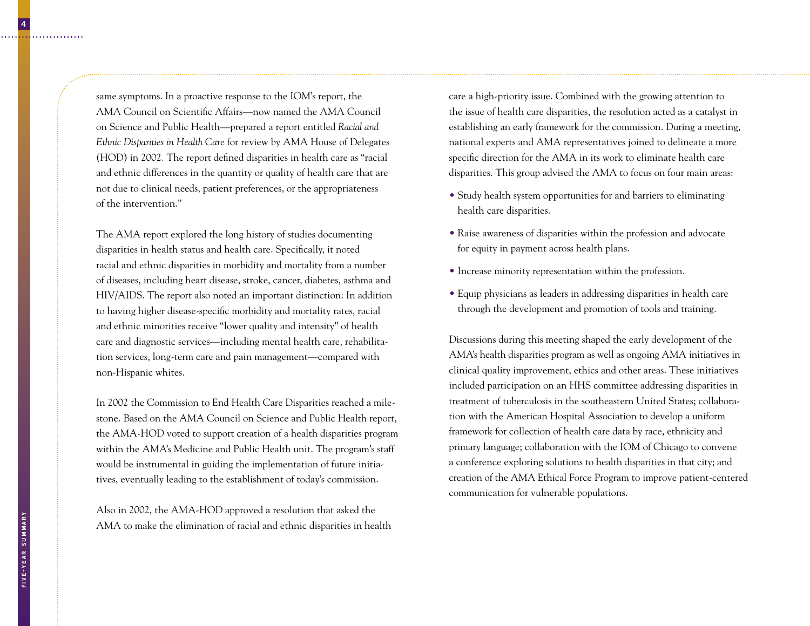same symptoms. In a proactive response to the IOM's report, the AMA Council on Scientific Affairs—now named the AMA Council on Science and Public Health—prepared a report entitled *Racial and Ethnic Disparities in Health Care* for review by AMA House of Delegates (HOD) in 2002. The report defined disparities in health care as "racial and ethnic differences in the quantity or quality of health care that are not due to clinical needs, patient preferences, or the appropriateness of the intervention."

The AMA report explored the long history of studies documenting disparities in health status and health care. Specifically, it noted racial and ethnic disparities in morbidity and mortality from a number of diseases, including heart disease, stroke, cancer, diabetes, asthma and HIV/AIDS. The report also noted an important distinction: In addition to having higher disease-specific morbidity and mortality rates, racial and ethnic minorities receive "lower quality and intensity" of health care and diagnostic services—including mental health care, rehabilitation services, long-term care and pain management—compared with non-Hispanic whites.

In 2002 the Commission to End Health Care Disparities reached a milestone. Based on the AMA Council on Science and Public Health report, the AMA-HOD voted to support creation of a health disparities program within the AMA's Medicine and Public Health unit. The program's staff would be instrumental in guiding the implementation of future initiatives, eventually leading to the establishment of today's commission.

Also in 2002, the AMA-HOD approved a resolution that asked the AMA to make the elimination of racial and ethnic disparities in health care a high-priority issue. Combined with the growing attention to the issue of health care disparities, the resolution acted as a catalyst in establishing an early framework for the commission. During a meeting, national experts and AMA representatives joined to delineate a more specific direction for the AMA in its work to eliminate health care disparities. This group advised the AMA to focus on four main areas:

- Study health system opportunities for and barriers to eliminating health care disparities.
- Raise awareness of disparities within the profession and advocate for equity in payment across health plans.
- Increase minority representation within the profession.
- Equip physicians as leaders in addressing disparities in health care through the development and promotion of tools and training.

Discussions during this meeting shaped the early development of the AMA's health disparities program as well as ongoing AMA initiatives in clinical quality improvement, ethics and other areas. These initiatives included participation on an HHS committee addressing disparities in treatment of tuberculosis in the southeastern United States; collaboration with the American Hospital Association to develop a uniform framework for collection of health care data by race, ethnicity and primary language; collaboration with the IOM of Chicago to convene a conference exploring solutions to health disparities in that city; and creation of the AMA Ethical Force Program to improve patient-centered communication for vulnerable populations.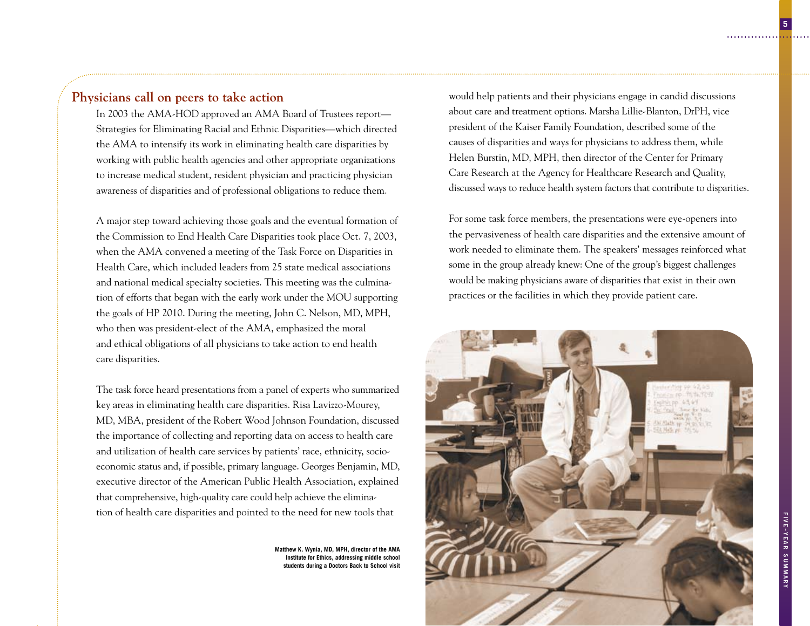#### **Physicians call on peers to take action**

In 2003 the AMA-HOD approved an AMA Board of Trustees report— Strategies for Eliminating Racial and Ethnic Disparities—which directed the AMA to intensify its work in eliminating health care disparities by working with public health agencies and other appropriate organizations to increase medical student, resident physician and practicing physician awareness of disparities and of professional obligations to reduce them.

A major step toward achieving those goals and the eventual formation of the Commission to End Health Care Disparities took place Oct. 7, 2003, when the AMA convened a meeting of the Task Force on Disparities in Health Care, which included leaders from 25 state medical associations and national medical specialty societies. This meeting was the culmination of efforts that began with the early work under the MOU supporting the goals of HP 2010. During the meeting, John C. Nelson, MD, MPH, who then was president-elect of the AMA, emphasized the moral and ethical obligations of all physicians to take action to end health care disparities.

The task force heard presentations from a panel of experts who summarized key areas in eliminating health care disparities. Risa Lavizzo-Mourey, MD, MBA, president of the Robert Wood Johnson Foundation, discussed the importance of collecting and reporting data on access to health care and utilization of health care services by patients' race, ethnicity, socioeconomic status and, if possible, primary language. Georges Benjamin, MD, executive director of the American Public Health Association, explained that comprehensive, high-quality care could help achieve the elimination of health care disparities and pointed to the need for new tools that

> **Matthew K. Wynia, MD, MPH, director of the AMA Institute for Ethics, addressing middle school students during a Doctors Back to School visit**

would help patients and their physicians engage in candid discussions about care and treatment options. Marsha Lillie-Blanton, DrPH, vice president of the Kaiser Family Foundation, described some of the causes of disparities and ways for physicians to address them, while Helen Burstin, MD, MPH, then director of the Center for Primary Care Research at the Agency for Healthcare Research and Quality, discussed ways to reduce health system factors that contribute to disparities.

For some task force members, the presentations were eye-openers into the pervasiveness of health care disparities and the extensive amount of work needed to eliminate them. The speakers' messages reinforced what some in the group already knew: One of the group's biggest challenges would be making physicians aware of disparities that exist in their own practices or the facilities in which they provide patient care.

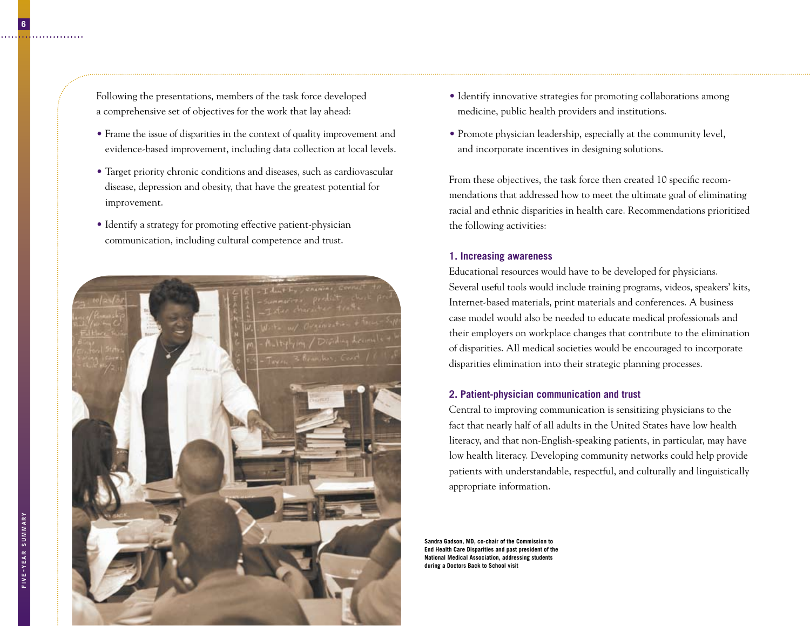Following the presentations, members of the task force developed a comprehensive set of objectives for the work that lay ahead:

- Frame the issue of disparities in the context of quality improvement and evidence-based improvement, including data collection at local levels.
- Target priority chronic conditions and diseases, such as cardiovascular disease, depression and obesity, that have the greatest potential for improvement.
- Identify a strategy for promoting effective patient-physician communication, including cultural competence and trust.



- Identify innovative strategies for promoting collaborations among medicine, public health providers and institutions.
- Promote physician leadership, especially at the community level, and incorporate incentives in designing solutions.

From these objectives, the task force then created 10 specific recommendations that addressed how to meet the ultimate goal of eliminating racial and ethnic disparities in health care. Recommendations prioritized the following activities:

#### **1. Increasing awareness**

Educational resources would have to be developed for physicians. Several useful tools would include training programs, videos, speakers' kits, Internet-based materials, print materials and conferences. A business case model would also be needed to educate medical professionals and their employers on workplace changes that contribute to the elimination of disparities. All medical societies would be encouraged to incorporate disparities elimination into their strategic planning processes.

#### **2. Patient-physician communication and trust**

Central to improving communication is sensitizing physicians to the fact that nearly half of all adults in the United States have low health literacy, and that non-English-speaking patients, in particular, may have low health literacy. Developing community networks could help provide patients with understandable, respectful, and culturally and linguistically appropriate information.

**Sandra Gadson, MD, co-chair of the Commission to End Health Care Disparities and past president of the National Medical Association, addressing students during a Doctors Back to School visit**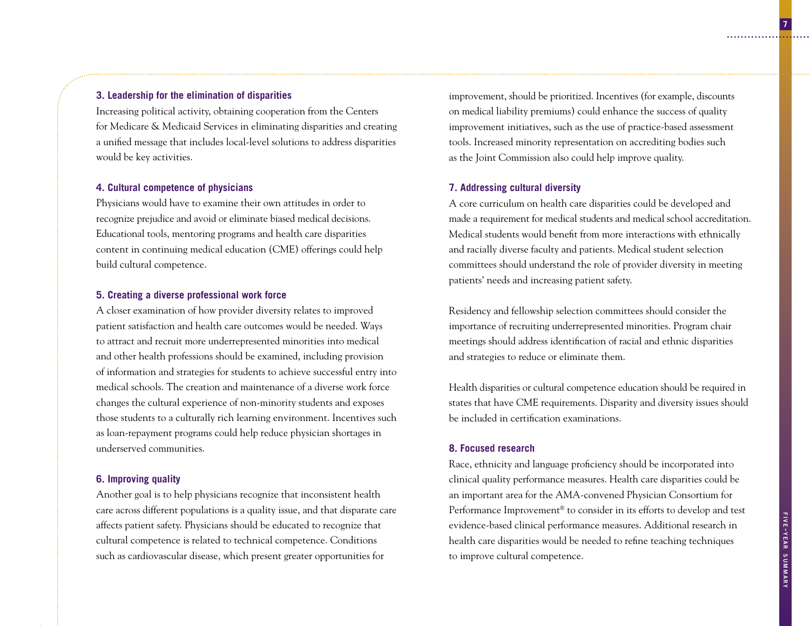#### **3. Leadership for the elimination of disparities**

Increasing political activity, obtaining cooperation from the Centers for Medicare & Medicaid Services in eliminating disparities and creating a unified message that includes local-level solutions to address disparities would be key activities.

#### **4. Cultural competence of physicians**

Physicians would have to examine their own attitudes in order to recognize prejudice and avoid or eliminate biased medical decisions. Educational tools, mentoring programs and health care disparities content in continuing medical education (CME) offerings could help build cultural competence.

#### **5. Creating a diverse professional work force**

A closer examination of how provider diversity relates to improved patient satisfaction and health care outcomes would be needed. Ways to attract and recruit more underrepresented minorities into medical and other health professions should be examined, including provision of information and strategies for students to achieve successful entry into medical schools. The creation and maintenance of a diverse work force changes the cultural experience of non-minority students and exposes those students to a culturally rich learning environment. Incentives such as loan-repayment programs could help reduce physician shortages in underserved communities.

#### **6. Improving quality**

Another goal is to help physicians recognize that inconsistent health care across different populations is a quality issue, and that disparate care affects patient safety. Physicians should be educated to recognize that cultural competence is related to technical competence. Conditions such as cardiovascular disease, which present greater opportunities for

improvement, should be prioritized. Incentives (for example, discounts on medical liability premiums) could enhance the success of quality improvement initiatives, such as the use of practice-based assessment tools. Increased minority representation on accrediting bodies such as the Joint Commission also could help improve quality.

#### **7. Addressing cultural diversity**

A core curriculum on health care disparities could be developed and made a requirement for medical students and medical school accreditation. Medical students would benefit from more interactions with ethnically and racially diverse faculty and patients. Medical student selection committees should understand the role of provider diversity in meeting patients' needs and increasing patient safety.

Residency and fellowship selection committees should consider the importance of recruiting underrepresented minorities. Program chair meetings should address identification of racial and ethnic disparities and strategies to reduce or eliminate them.

Health disparities or cultural competence education should be required in states that have CME requirements. Disparity and diversity issues should be included in certification examinations.

#### **8. Focused research**

Race, ethnicity and language proficiency should be incorporated into clinical quality performance measures. Health care disparities could be an important area for the AMA-convened Physician Consortium for Performance Improvement® to consider in its efforts to develop and test evidence-based clinical performance measures. Additional research in health care disparities would be needed to refine teaching techniques to improve cultural competence.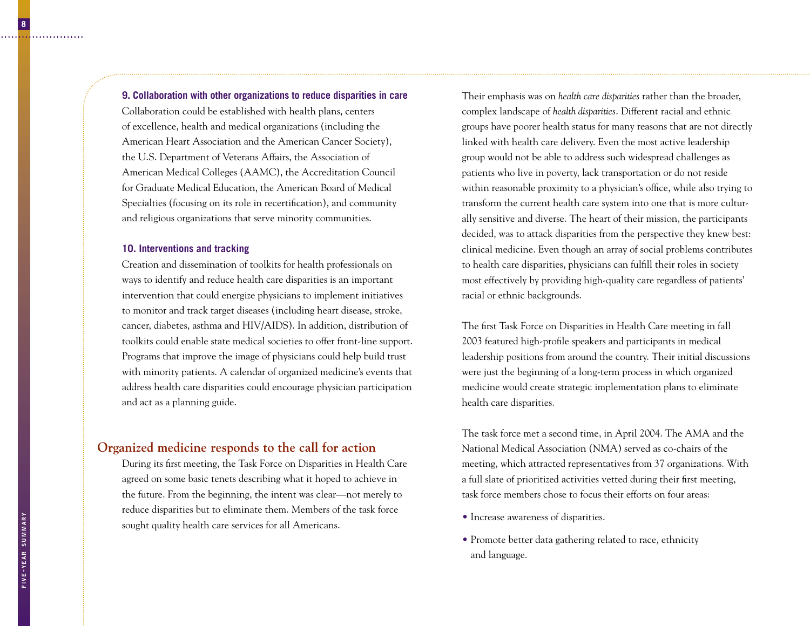Collaboration could be established with health plans, centers of excellence, health and medical organizations (including the American Heart Association and the American Cancer Society), the U.S. Department of Veterans Affairs, the Association of American Medical Colleges (AAMC), the Accreditation Council for Graduate Medical Education, the American Board of Medical Specialties (focusing on its role in recertification), and community and religious organizations that serve minority communities.

#### **10. Interventions and tracking**

Creation and dissemination of toolkits for health professionals on ways to identify and reduce health care disparities is an important intervention that could energize physicians to implement initiatives to monitor and track target diseases (including heart disease, stroke, cancer, diabetes, asthma and HIV/AIDS). In addition, distribution of toolkits could enable state medical societies to offer front-line support. Programs that improve the image of physicians could help build trust with minority patients. A calendar of organized medicine's events that address health care disparities could encourage physician participation and act as a planning guide.

#### **Organized medicine responds to the call for action**

During its first meeting, the Task Force on Disparities in Health Care agreed on some basic tenets describing what it hoped to achieve in the future. From the beginning, the intent was clear—not merely to reduce disparities but to eliminate them. Members of the task force sought quality health care services for all Americans.

Their emphasis was on *health care disparities* rather than the broader, complex landscape of *health disparities*. Different racial and ethnic groups have poorer health status for many reasons that are not directly linked with health care delivery. Even the most active leadership group would not be able to address such widespread challenges as patients who live in poverty, lack transportation or do not reside within reasonable proximity to a physician's office, while also trying to transform the current health care system into one that is more culturally sensitive and diverse. The heart of their mission, the participants decided, was to attack disparities from the perspective they knew best: clinical medicine. Even though an array of social problems contributes to health care disparities, physicians can fulfill their roles in society most effectively by providing high-quality care regardless of patients' racial or ethnic backgrounds.

The first Task Force on Disparities in Health Care meeting in fall 2003 featured high-profile speakers and participants in medical leadership positions from around the country. Their initial discussions were just the beginning of a long-term process in which organized medicine would create strategic implementation plans to eliminate health care disparities.

The task force met a second time, in April 2004. The AMA and the National Medical Association (NMA) served as co-chairs of the meeting, which attracted representatives from 37 organizations. With a full slate of prioritized activities vetted during their first meeting, task force members chose to focus their efforts on four areas:

- Increase awareness of disparities.
- Promote better data gathering related to race, ethnicity and language.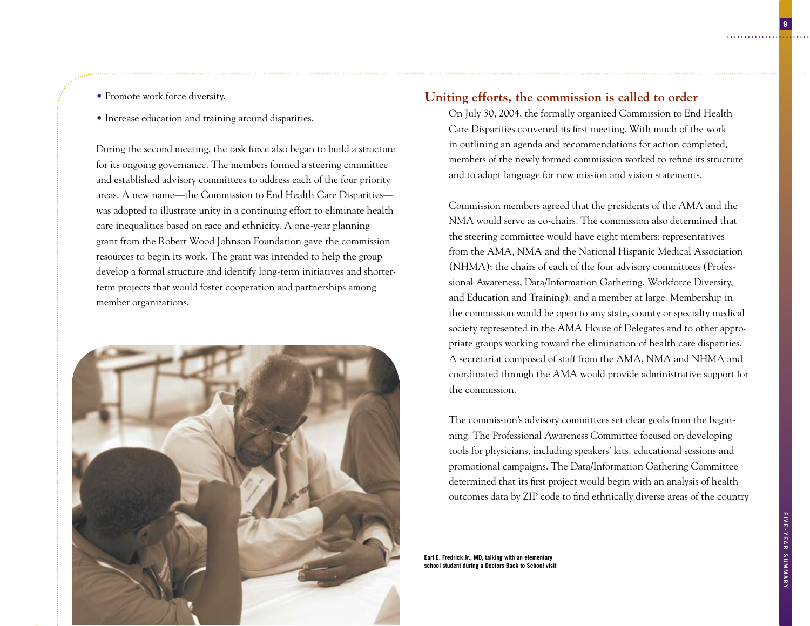- Promote work force diversity.
- Increase education and training around disparities.

During the second meeting, the task force also began to build a structure for its ongoing governance. The members formed a steering committee and established advisory committees to address each of the four priority areas. A new name—the Commission to End Health Care Disparities was adopted to illustrate unity in a continuing effort to eliminate health care inequalities based on race and ethnicity. A one-year planning grant from the Robert Wood Johnson Foundation gave the commission resources to begin its work. The grant was intended to help the group develop a formal structure and identify long-term initiatives and shorterterm projects that would foster cooperation and partnerships among member organizations.



#### **Uniting efforts, the commission is called to order**

On July 30, 2004, the formally organized Commission to End Health Care Disparities convened its first meeting. With much of the work in outlining an agenda and recommendations for action completed, members of the newly formed commission worked to refine its structure and to adopt language for new mission and vision statements.

Commission members agreed that the presidents of the AMA and the NMA would serve as co-chairs. The commission also determined that the steering committee would have eight members: representatives from the AMA, NMA and the National Hispanic Medical Association (NHMA); the chairs of each of the four advisory committees (Professional Awareness, Data/Information Gathering, Workforce Diversity, and Education and Training); and a member at large. Membership in the commission would be open to any state, county or specialty medical society represented in the AMA House of Delegates and to other appropriate groups working toward the elimination of health care disparities. A secretariat composed of staff from the AMA, NMA and NHMA and coordinated through the AMA would provide administrative support for the commission.

The commission's advisory committees set clear goals from the beginning. The Professional Awareness Committee focused on developing tools for physicians, including speakers' kits, educational sessions and promotional campaigns. The Data/Information Gathering Committee determined that its first project would begin with an analysis of health outcomes data by ZIP code to find ethnically diverse areas of the country

**Earl E. Fredrick Jr., MD, talking with an elementary school student during a Doctors Back to School visit**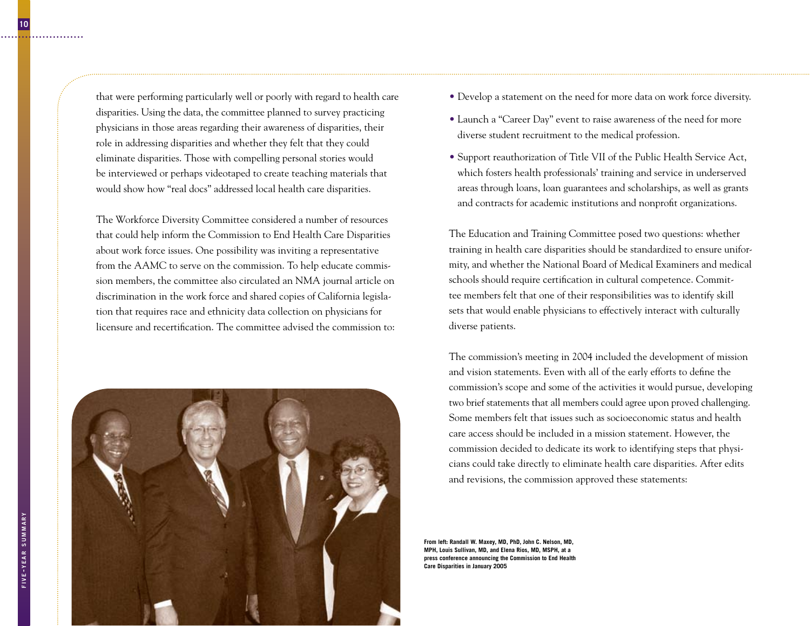that were performing particularly well or poorly with regard to health care disparities. Using the data, the committee planned to survey practicing physicians in those areas regarding their awareness of disparities, their role in addressing disparities and whether they felt that they could eliminate disparities. Those with compelling personal stories would be interviewed or perhaps videotaped to create teaching materials that would show how "real docs" addressed local health care disparities.

The Workforce Diversity Committee considered a number of resources that could help inform the Commission to End Health Care Disparities about work force issues. One possibility was inviting a representative from the AAMC to serve on the commission. To help educate commission members, the committee also circulated an NMA journal article on discrimination in the work force and shared copies of California legislation that requires race and ethnicity data collection on physicians for licensure and recertification. The committee advised the commission to:



- Develop a statement on the need for more data on work force diversity.
- Launch a "Career Day" event to raise awareness of the need for more diverse student recruitment to the medical profession.
- Support reauthorization of Title VII of the Public Health Service Act, which fosters health professionals' training and service in underserved areas through loans, loan guarantees and scholarships, as well as grants and contracts for academic institutions and nonprofit organizations.

The Education and Training Committee posed two questions: whether training in health care disparities should be standardized to ensure uniformity, and whether the National Board of Medical Examiners and medical schools should require certification in cultural competence. Committee members felt that one of their responsibilities was to identify skill sets that would enable physicians to effectively interact with culturally diverse patients.

The commission's meeting in 2004 included the development of mission and vision statements. Even with all of the early efforts to define the commission's scope and some of the activities it would pursue, developing two brief statements that all members could agree upon proved challenging. Some members felt that issues such as socioeconomic status and health care access should be included in a mission statement. However, the commission decided to dedicate its work to identifying steps that physicians could take directly to eliminate health care disparities. After edits and revisions, the commission approved these statements:

**From left: Randall W. Maxey, MD, PhD, John C. Nelson, MD, MPH, Louis Sullivan, MD, and Elena Rios, MD, MSPH, at a press conference announcing the Commission to End Health Care Disparities in January 2005**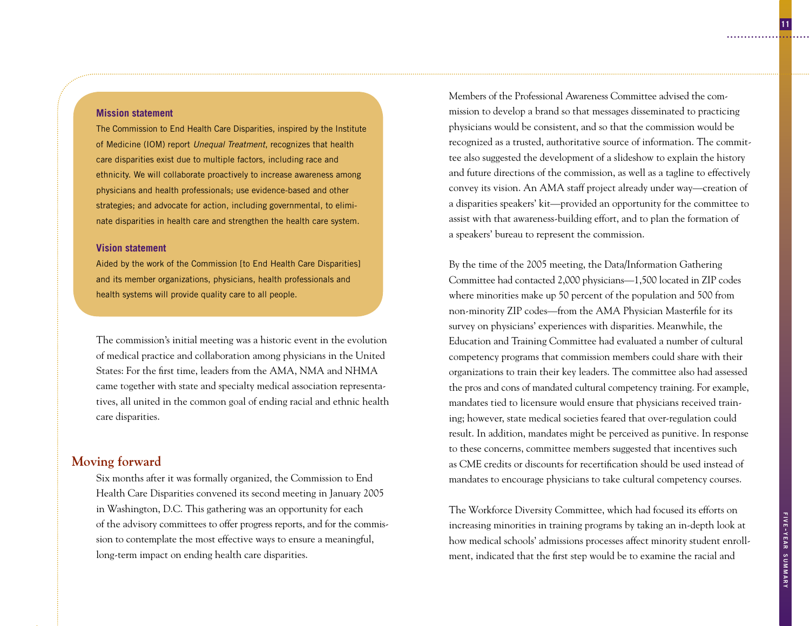#### **Mission statement**

The Commission to End Health Care Disparities, inspired by the Institute of Medicine (IOM) report *Unequal Treatment*, recognizes that health care disparities exist due to multiple factors, including race and ethnicity. We will collaborate proactively to increase awareness among physicians and health professionals; use evidence-based and other strategies; and advocate for action, including governmental, to eliminate disparities in health care and strengthen the health care system.

#### **Vision statement**

Aided by the work of the Commission [to End Health Care Disparities] and its member organizations, physicians, health professionals and health systems will provide quality care to all people.

The commission's initial meeting was a historic event in the evolution of medical practice and collaboration among physicians in the United States: For the first time, leaders from the AMA, NMA and NHMA came together with state and specialty medical association representatives, all united in the common goal of ending racial and ethnic health care disparities.

#### **Moving forward**

Six months after it was formally organized, the Commission to End Health Care Disparities convened its second meeting in January 2005 in Washington, D.C. This gathering was an opportunity for each of the advisory committees to offer progress reports, and for the commission to contemplate the most effective ways to ensure a meaningful, long-term impact on ending health care disparities.

Members of the Professional Awareness Committee advised the commission to develop a brand so that messages disseminated to practicing physicians would be consistent, and so that the commission would be recognized as a trusted, authoritative source of information. The committee also suggested the development of a slideshow to explain the history and future directions of the commission, as well as a tagline to effectively convey its vision. An AMA staff project already under way—creation of a disparities speakers' kit—provided an opportunity for the committee to assist with that awareness-building effort, and to plan the formation of a speakers' bureau to represent the commission.

By the time of the 2005 meeting, the Data/Information Gathering Committee had contacted 2,000 physicians—1,500 located in ZIP codes where minorities make up 50 percent of the population and 500 from non-minority ZIP codes—from the AMA Physician Masterfile for its survey on physicians' experiences with disparities. Meanwhile, the Education and Training Committee had evaluated a number of cultural competency programs that commission members could share with their organizations to train their key leaders. The committee also had assessed the pros and cons of mandated cultural competency training. For example, mandates tied to licensure would ensure that physicians received training; however, state medical societies feared that over-regulation could result. In addition, mandates might be perceived as punitive. In response to these concerns, committee members suggested that incentives such as CME credits or discounts for recertification should be used instead of mandates to encourage physicians to take cultural competency courses.

The Workforce Diversity Committee, which had focused its efforts on increasing minorities in training programs by taking an in-depth look at how medical schools' admissions processes affect minority student enrollment, indicated that the first step would be to examine the racial and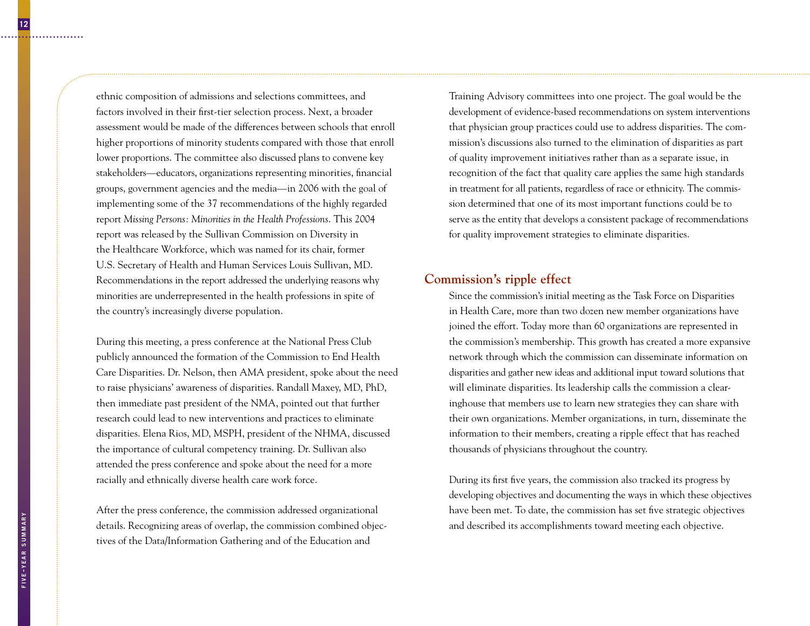ethnic composition of admissions and selections committees, and factors involved in their first-tier selection process. Next, a broader assessment would be made of the differences between schools that enroll higher proportions of minority students compared with those that enroll lower proportions. The committee also discussed plans to convene key stakeholders—educators, organizations representing minorities, financial groups, government agencies and the media—in 2006 with the goal of implementing some of the 37 recommendations of the highly regarded report *Missing Persons: Minorities in the Health Professions*. This 2004 report was released by the Sullivan Commission on Diversity in the Healthcare Workforce, which was named for its chair, former U.S. Secretary of Health and Human Services Louis Sullivan, MD. Recommendations in the report addressed the underlying reasons why minorities are underrepresented in the health professions in spite of the country's increasingly diverse population.

During this meeting, a press conference at the National Press Club publicly announced the formation of the Commission to End Health Care Disparities. Dr. Nelson, then AMA president, spoke about the need to raise physicians' awareness of disparities. Randall Maxey, MD, PhD, then immediate past president of the NMA, pointed out that further research could lead to new interventions and practices to eliminate disparities. Elena Rios, MD, MSPH, president of the NHMA, discussed the importance of cultural competency training. Dr. Sullivan also attended the press conference and spoke about the need for a more racially and ethnically diverse health care work force.

After the press conference, the commission addressed organizational details. Recognizing areas of overlap, the commission combined objectives of the Data/Information Gathering and of the Education and

Training Advisory committees into one project. The goal would be the development of evidence-based recommendations on system interventions that physician group practices could use to address disparities. The commission's discussions also turned to the elimination of disparities as part of quality improvement initiatives rather than as a separate issue, in recognition of the fact that quality care applies the same high standards in treatment for all patients, regardless of race or ethnicity. The commission determined that one of its most important functions could be to serve as the entity that develops a consistent package of recommendations for quality improvement strategies to eliminate disparities.

#### **Commission's ripple effect**

Since the commission's initial meeting as the Task Force on Disparities in Health Care, more than two dozen new member organizations have joined the effort. Today more than 60 organizations are represented in the commission's membership. This growth has created a more expansive network through which the commission can disseminate information on disparities and gather new ideas and additional input toward solutions that will eliminate disparities. Its leadership calls the commission a clearinghouse that members use to learn new strategies they can share with their own organizations. Member organizations, in turn, disseminate the information to their members, creating a ripple effect that has reached thousands of physicians throughout the country.

During its first five years, the commission also tracked its progress by developing objectives and documenting the ways in which these objectives have been met. To date, the commission has set five strategic objectives and described its accomplishments toward meeting each objective.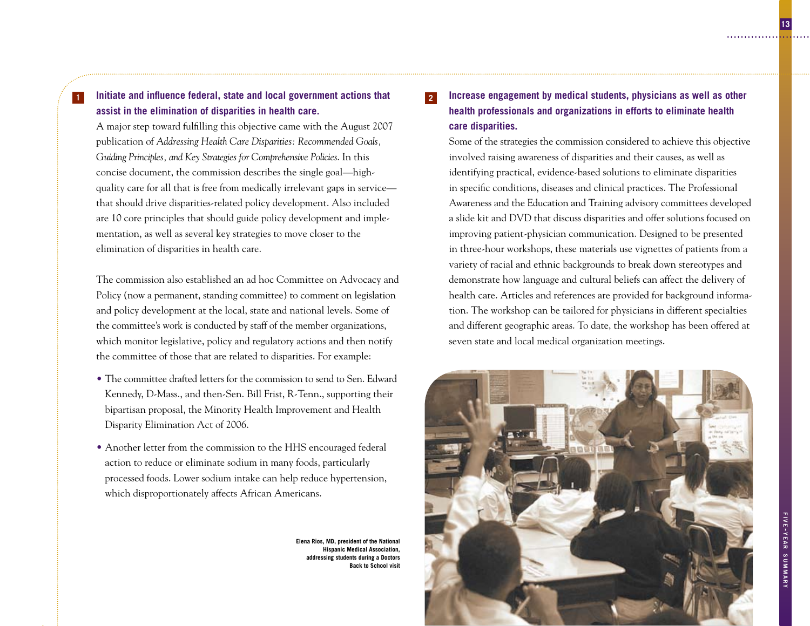#### **Initiate and influence federal, state and local government actions that 1 2 assist in the elimination of disparities in health care.**

A major step toward fulfilling this objective came with the August 2007 publication of *Addressing Health Care Disparities: Recommended Goals, Guiding Principles, and Key Strategies for Comprehensive Policies*. In this concise document, the commission describes the single goal—highquality care for all that is free from medically irrelevant gaps in service that should drive disparities-related policy development. Also included are 10 core principles that should guide policy development and implementation, as well as several key strategies to move closer to the elimination of disparities in health care.

The commission also established an ad hoc Committee on Advocacy and Policy (now a permanent, standing committee) to comment on legislation and policy development at the local, state and national levels. Some of the committee's work is conducted by staff of the member organizations, which monitor legislative, policy and regulatory actions and then notify the committee of those that are related to disparities. For example:

- The committee drafted letters for the commission to send to Sen. Edward Kennedy, D-Mass., and then-Sen. Bill Frist, R-Tenn., supporting their bipartisan proposal, the Minority Health Improvement and Health Disparity Elimination Act of 2006.
- Another letter from the commission to the HHS encouraged federal action to reduce or eliminate sodium in many foods, particularly processed foods. Lower sodium intake can help reduce hypertension, which disproportionately affects African Americans.

**Elena Rios, MD, president of the National Hispanic Medical Association, addressing students during a Doctors Back to School visit** 

#### **Increase engagement by medical students, physicians as well as other health professionals and organizations in efforts to eliminate health care disparities.**

Some of the strategies the commission considered to achieve this objective involved raising awareness of disparities and their causes, as well as identifying practical, evidence-based solutions to eliminate disparities in specific conditions, diseases and clinical practices. The Professional Awareness and the Education and Training advisory committees developed a slide kit and DVD that discuss disparities and offer solutions focused on improving patient-physician communication. Designed to be presented in three-hour workshops, these materials use vignettes of patients from a variety of racial and ethnic backgrounds to break down stereotypes and demonstrate how language and cultural beliefs can affect the delivery of health care. Articles and references are provided for background information. The workshop can be tailored for physicians in different specialties and different geographic areas. To date, the workshop has been offered at seven state and local medical organization meetings.

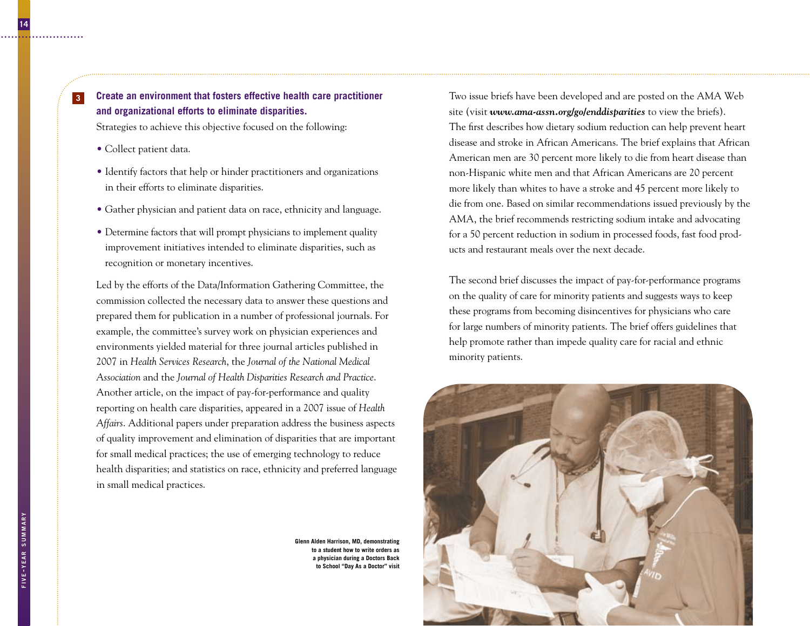#### **3 Create an environment that fosters effective health care practitioner and organizational efforts to eliminate disparities.**

Strategies to achieve this objective focused on the following:

- Collect patient data.
- Identify factors that help or hinder practitioners and organizations in their efforts to eliminate disparities.
- Gather physician and patient data on race, ethnicity and language.
- Determine factors that will prompt physicians to implement quality improvement initiatives intended to eliminate disparities, such as recognition or monetary incentives.

Led by the efforts of the Data/Information Gathering Committee, the commission collected the necessary data to answer these questions and prepared them for publication in a number of professional journals. For example, the committee's survey work on physician experiences and environments yielded material for three journal articles published in 2007 in *Health Services Research*, the *Journal of the National Medical Association* and the *Journal of Health Disparities Research and Practice*. Another article, on the impact of pay-for-performance and quality reporting on health care disparities, appeared in a 2007 issue of *Health Affairs*. Additional papers under preparation address the business aspects of quality improvement and elimination of disparities that are important for small medical practices; the use of emerging technology to reduce health disparities; and statistics on race, ethnicity and preferred language in small medical practices.

> **Glenn Alden Harrison, MD, demonstrating to a student how to write orders as a physician during a Doctors Back to School "Day As a Doctor" visit**

Two issue briefs have been developed and are posted on the AMA Web site (visit *www.ama-assn.org/go/enddisparities* to view the briefs). The first describes how dietary sodium reduction can help prevent heart disease and stroke in African Americans. The brief explains that African American men are 30 percent more likely to die from heart disease than non-Hispanic white men and that African Americans are 20 percent more likely than whites to have a stroke and 45 percent more likely to die from one. Based on similar recommendations issued previously by the AMA, the brief recommends restricting sodium intake and advocating for a 50 percent reduction in sodium in processed foods, fast food products and restaurant meals over the next decade.

The second brief discusses the impact of pay-for-performance programs on the quality of care for minority patients and suggests ways to keep these programs from becoming disincentives for physicians who care for large numbers of minority patients. The brief offers guidelines that help promote rather than impede quality care for racial and ethnic minority patients.



**14**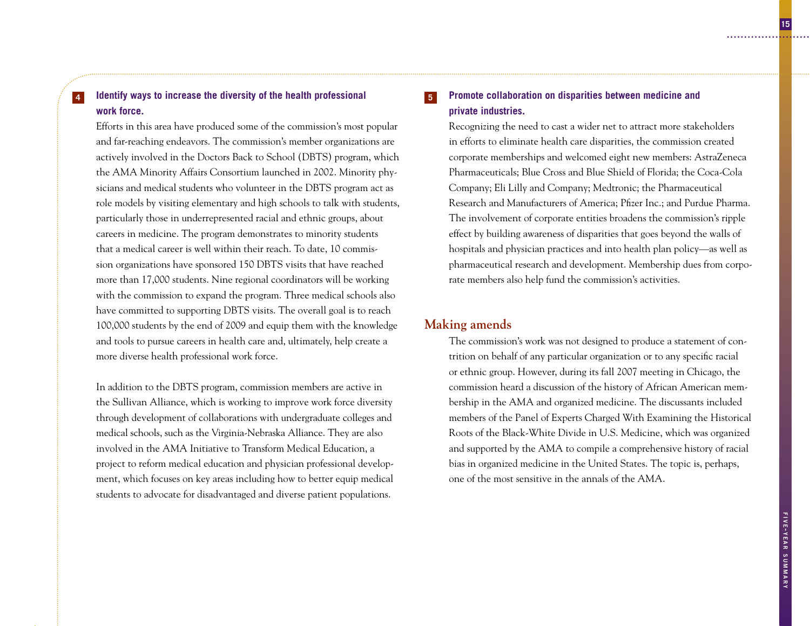#### **Identify ways to increase the diversity of the health professional 4 5work force.**

Efforts in this area have produced some of the commission's most popular and far-reaching endeavors. The commission's member organizations are actively involved in the Doctors Back to School (DBTS) program, which the AMA Minority Affairs Consortium launched in 2002. Minority physicians and medical students who volunteer in the DBTS program act as role models by visiting elementary and high schools to talk with students, particularly those in underrepresented racial and ethnic groups, about careers in medicine. The program demonstrates to minority students that a medical career is well within their reach. To date, 10 commission organizations have sponsored 150 DBTS visits that have reached more than 17,000 students. Nine regional coordinators will be working with the commission to expand the program. Three medical schools also have committed to supporting DBTS visits. The overall goal is to reach 100,000 students by the end of 2009 and equip them with the knowledge and tools to pursue careers in health care and, ultimately, help create a more diverse health professional work force.

In addition to the DBTS program, commission members are active in the Sullivan Alliance, which is working to improve work force diversity through development of collaborations with undergraduate colleges and medical schools, such as the Virginia-Nebraska Alliance. They are also involved in the AMA Initiative to Transform Medical Education, a project to reform medical education and physician professional development, which focuses on key areas including how to better equip medical students to advocate for disadvantaged and diverse patient populations.

#### **Promote collaboration on disparities between medicine and private industries.**

Recognizing the need to cast a wider net to attract more stakeholders in efforts to eliminate health care disparities, the commission created corporate memberships and welcomed eight new members: AstraZeneca Pharmaceuticals; Blue Cross and Blue Shield of Florida; the Coca-Cola Company; Eli Lilly and Company; Medtronic; the Pharmaceutical Research and Manufacturers of America; Pfizer Inc.; and Purdue Pharma. The involvement of corporate entities broadens the commission's ripple effect by building awareness of disparities that goes beyond the walls of hospitals and physician practices and into health plan policy—as well as pharmaceutical research and development. Membership dues from corporate members also help fund the commission's activities.

#### **Making amends**

The commission's work was not designed to produce a statement of contrition on behalf of any particular organization or to any specific racial or ethnic group. However, during its fall 2007 meeting in Chicago, the commission heard a discussion of the history of African American membership in the AMA and organized medicine. The discussants included members of the Panel of Experts Charged With Examining the Historical Roots of the Black-White Divide in U.S. Medicine, which was organized and supported by the AMA to compile a comprehensive history of racial bias in organized medicine in the United States. The topic is, perhaps, one of the most sensitive in the annals of the AMA.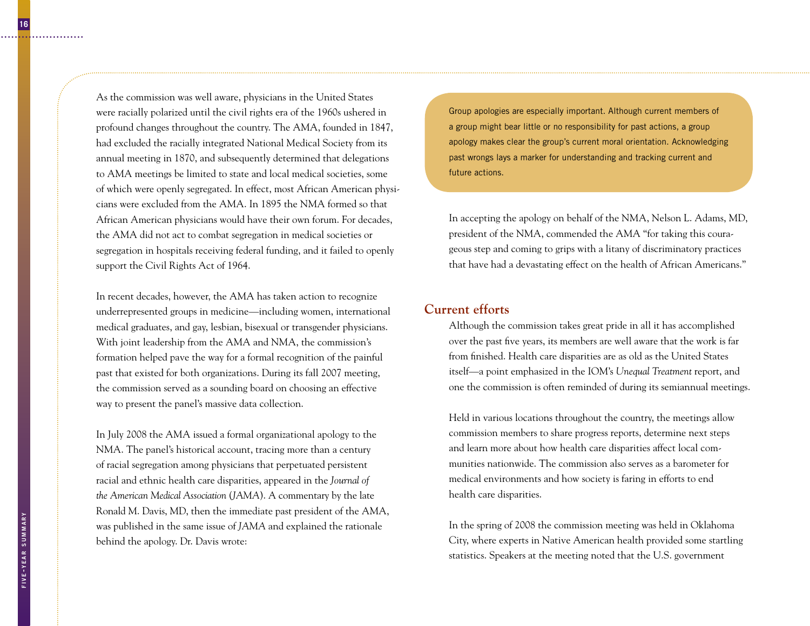As the commission was well aware, physicians in the United States were racially polarized until the civil rights era of the 1960s ushered in profound changes throughout the country. The AMA, founded in 1847, had excluded the racially integrated National Medical Society from its annual meeting in 1870, and subsequently determined that delegations to AMA meetings be limited to state and local medical societies, some of which were openly segregated. In effect, most African American physicians were excluded from the AMA. In 1895 the NMA formed so that African American physicians would have their own forum. For decades, the AMA did not act to combat segregation in medical societies or segregation in hospitals receiving federal funding, and it failed to openly support the Civil Rights Act of 1964.

In recent decades, however, the AMA has taken action to recognize underrepresented groups in medicine—including women, international medical graduates, and gay, lesbian, bisexual or transgender physicians. With joint leadership from the AMA and NMA, the commission's formation helped pave the way for a formal recognition of the painful past that existed for both organizations. During its fall 2007 meeting, the commission served as a sounding board on choosing an effective way to present the panel's massive data collection.

In July 2008 the AMA issued a formal organizational apology to the NMA. The panel's historical account, tracing more than a century of racial segregation among physicians that perpetuated persistent racial and ethnic health care disparities, appeared in the *Journal of the American Medical Association* (*JAMA*). A commentary by the late Ronald M. Davis, MD, then the immediate past president of the AMA, was published in the same issue of *JAMA* and explained the rationale behind the apology. Dr. Davis wrote:

Group apologies are especially important. Although current members of a group might bear little or no responsibility for past actions, a group apology makes clear the group's current moral orientation. Acknowledging past wrongs lays a marker for understanding and tracking current and future actions.

In accepting the apology on behalf of the NMA, Nelson L. Adams, MD, president of the NMA, commended the AMA "for taking this courageous step and coming to grips with a litany of discriminatory practices that have had a devastating effect on the health of African Americans."

#### **Current efforts**

Although the commission takes great pride in all it has accomplished over the past five years, its members are well aware that the work is far from finished. Health care disparities are as old as the United States itself—a point emphasized in the IOM's *Unequal Treatment* report, and one the commission is often reminded of during its semiannual meetings.

Held in various locations throughout the country, the meetings allow commission members to share progress reports, determine next steps and learn more about how health care disparities affect local communities nationwide. The commission also serves as a barometer for medical environments and how society is faring in efforts to end health care disparities.

In the spring of 2008 the commission meeting was held in Oklahoma City, where experts in Native American health provided some startling statistics. Speakers at the meeting noted that the U.S. government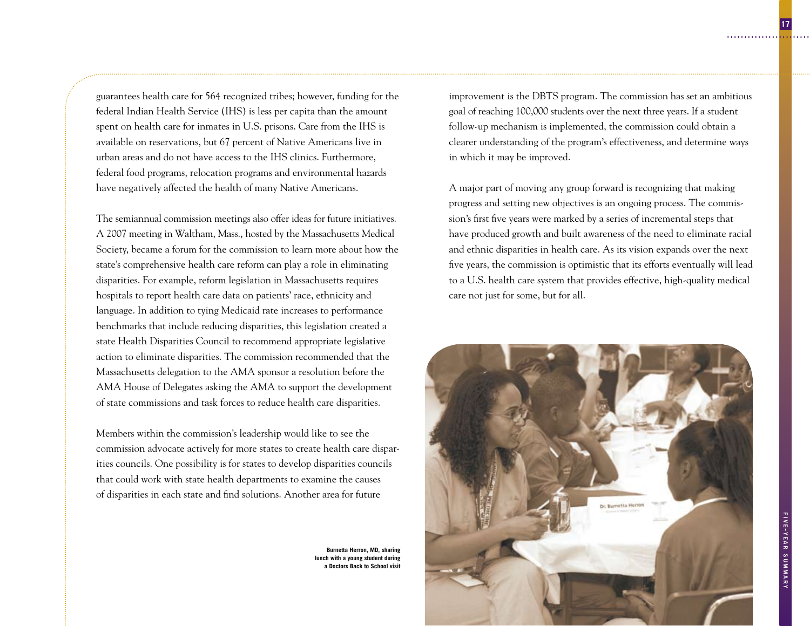guarantees health care for 564 recognized tribes; however, funding for the federal Indian Health Service (IHS) is less per capita than the amount spent on health care for inmates in U.S. prisons. Care from the IHS is available on reservations, but 67 percent of Native Americans live in urban areas and do not have access to the IHS clinics. Furthermore, federal food programs, relocation programs and environmental hazards have negatively affected the health of many Native Americans.

The semiannual commission meetings also offer ideas for future initiatives. A 2007 meeting in Waltham, Mass., hosted by the Massachusetts Medical Society, became a forum for the commission to learn more about how the state's comprehensive health care reform can play a role in eliminating disparities. For example, reform legislation in Massachusetts requires hospitals to report health care data on patients' race, ethnicity and language. In addition to tying Medicaid rate increases to performance benchmarks that include reducing disparities, this legislation created a state Health Disparities Council to recommend appropriate legislative action to eliminate disparities. The commission recommended that the Massachusetts delegation to the AMA sponsor a resolution before the AMA House of Delegates asking the AMA to support the development of state commissions and task forces to reduce health care disparities.

Members within the commission's leadership would like to see the commission advocate actively for more states to create health care disparities councils. One possibility is for states to develop disparities councils that could work with state health departments to examine the causes of disparities in each state and find solutions. Another area for future

> **Burnetta Herron, MD, sharing lunch with a young student during a Doctors Back to School visit**

improvement is the DBTS program. The commission has set an ambitious goal of reaching 100,000 students over the next three years. If a student follow-up mechanism is implemented, the commission could obtain a clearer understanding of the program's effectiveness, and determine ways in which it may be improved.

A major part of moving any group forward is recognizing that making progress and setting new objectives is an ongoing process. The commission's first five years were marked by a series of incremental steps that have produced growth and built awareness of the need to eliminate racial and ethnic disparities in health care. As its vision expands over the next five years, the commission is optimistic that its efforts eventually will lead to a U.S. health care system that provides effective, high-quality medical care not just for some, but for all.

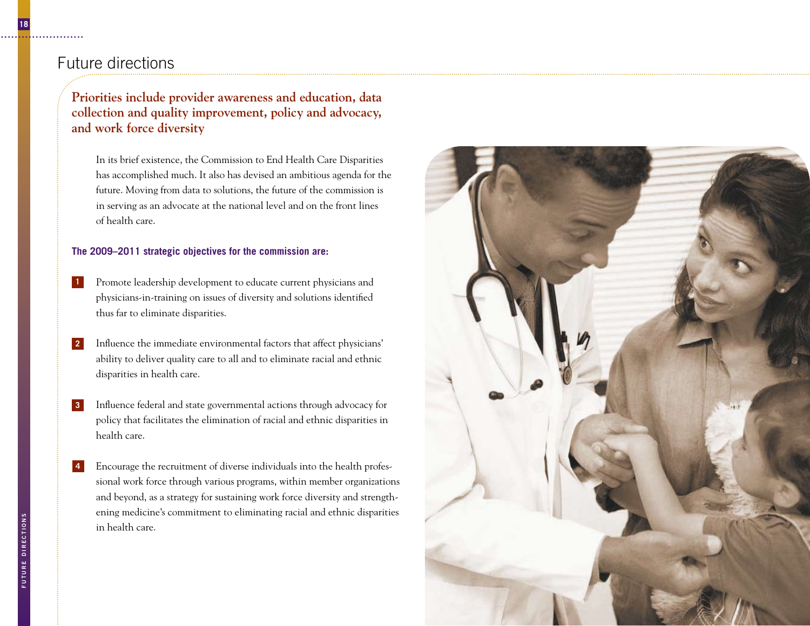### Future directions

### **Priorities include provider awareness and education, data collection and quality improvement, policy and advocacy, and work force diversity**

In its brief existence, the Commission to End Health Care Disparities has accomplished much. It also has devised an ambitious agenda for the future. Moving from data to solutions, the future of the commission is in serving as an advocate at the national level and on the front lines of health care.

#### **The 2009–2011 strategic objectives for the commission are:**

- Promote leadership development to educate current physicians and physicians-in-training on issues of diversity and solutions identified thus far to eliminate disparities. **1**
- Influence the immediate environmental factors that affect physicians' ability to deliver quality care to all and to eliminate racial and ethnic disparities in health care. **2**
- Influence federal and state governmental actions through advocacy for policy that facilitates the elimination of racial and ethnic disparities in health care. **3**
- Encourage the recruitment of diverse individuals into the health professional work force through various programs, within member organizations and beyond, as a strategy for sustaining work force diversity and strengthening medicine's commitment to eliminating racial and ethnic disparities in health care. **4**

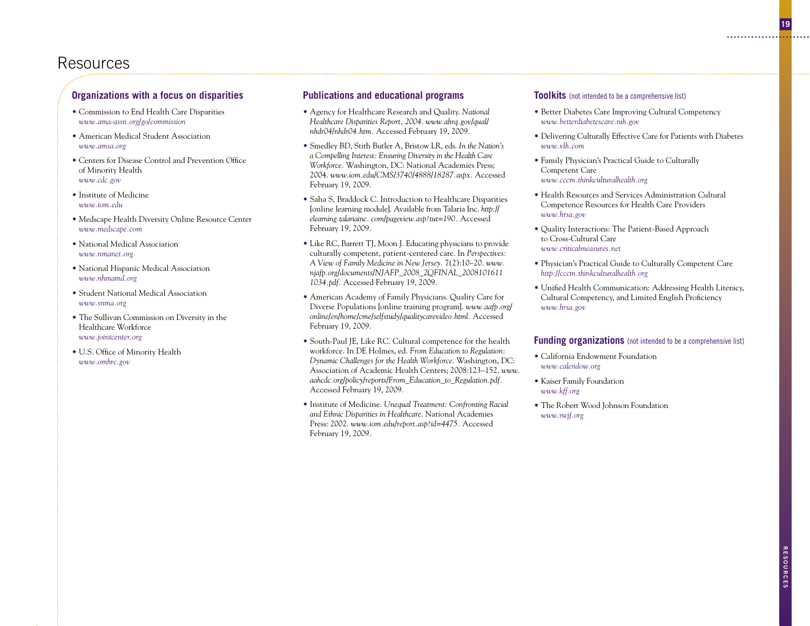#### **Organizations with a focus on disparities**

- Commission to End Health Care Disparities *www.ama-assn.org/go/commission*
- American Medical Student Association *www.amsa.org*
- Centers for Disease Control and Prevention Office of Minority Health *www.cdc.gov*
- Institute of Medicine *www.iom.edu*
- Medscape Health Diversity Online Resource Center *www.medscape.com*
- National Medical Association *www.nmanet.org*
- National Hispanic Medical Association *www.nhmamd.org*
- Student National Medical Association *www.snma.org*
- The Sullivan Commission on Diversity in the Healthcare Workforce *www.jointcenter.org*
- U.S. Office of Minority Health *www.omhrc.gov*

#### **Publications and educational programs**

- Agency for Healthcare Research and Quality. *National Healthcare Disparities Report, 2004*. *www.ahrq.gov/qual/ nhdr04/nhdr04.htm.* Accessed February 19, 2009.
- Smedley BD, Stith Butler A, Bristow LR, eds. *In the Nation's a Compelling Interest: Ensuring Diversity in the Health Care Workforce.* Washington, DC: National Academies Press; 2004. *www.iom.edu/CMS/3740/4888/18287.aspx.* Accessed February 19, 2009.
- Saha S, Braddock C. Introduction to Healthcare Disparities [online learning module]. Available from Talaria Inc. *http:// elearning.talariainc. com/pageview.asp?tut=190.* Accessed February 19, 2009.
- Like RC, Barrett TJ, Moon J. Educating physicians to provide culturally competent, patient-centered care. In *Perspectives: A View of Family Medicine in New Jersey.* 7(2):10–20. *www. njafp.org/documents/NJAFP\_2008\_2QFINAL\_2008101611 1034.pdf.* Accessed February 19, 2009.
- American Academy of Family Physicians. Quality Care for Diverse Populations [online training program]. *www.aafp.org/ online/en/home/cme/selfstudy/qualitycarevideo.html.* Accessed February 19, 2009.
- South-Paul JE, Like RC. Cultural competence for the health workforce. In DE Holmes, ed. *From Education to Regulation: Dynamic Challenges for the Health Workforce*. Washington, DC: Association of Academic Health Centers; 2008:123–152. *www. aahcdc.org/policy/reports/From\_Education\_to\_Regulation.pdf.* Accessed February 19, 2009.
- Institute of Medicine. *Unequal Treatment: Confronting Racial and Ethnic Disparities in Healthcare*. National Academies Press: 2002. *www.iom.edu/report.asp?id=4475.* Accessed February 19, 2009.

#### **Toolkits** (not intended to be a comprehensive list)

- Better Diabetes Care Improving Cultural Competency *www.betterdiabetescare.nih.gov*
- Delivering Culturally Effective Care for Patients with Diabetes *www.vlh.com*
- Family Physician's Practical Guide to Culturally Competent Care *www.cccm.thinkculturalhealth.org*
- Health Resources and Services Administration Cultural Competence Resources for Health Care Providers *www.hrsa.gov*
- Quality Interactions: The Patient-Based Approach to Cross-Cultural Care *www.criticalmeasures.net*
- Physician's Practical Guide to Culturally Competent Care *http://cccm.thinkculturalhealth.org*
- Unified Health Communication: Addressing Health Literacy, Cultural Competency, and Limited English Proficiency *www.hrsa.gov*

#### **Funding organizations** (not intended to be a comprehensive list)

- California Endowment Foundation *www.calendow.org*
- Kaiser Family Foundation *www.kff.org*
- The Robert Wood Johnson Foundation *www.rwjf.org*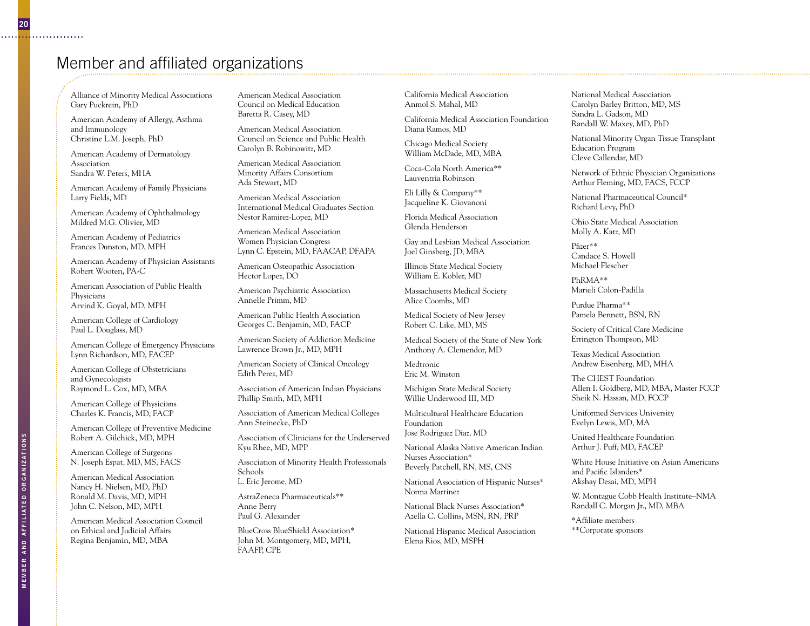## Member and affiliated organizations

Alliance of Minority Medical Associations Gary Puckrein, PhD

American Academy of Allergy, Asthma and Immunology Christine L.M. Joseph, PhD

American Academy of Dermatology Association Sandra W. Peters, MHA

American Academy of Family Physicians Larry Fields, MD

American Academy of Ophthalmology Mildred M.G. Olivier, MD

American Academy of Pediatrics Frances Dunston, MD, MPH

American Academy of Physician Assistants Robert Wooten, PA-C

American Association of Public Health Physicians Arvind K. Goyal, MD, MPH

American College of Cardiology Paul L. Douglass, MD

American College of Emergency Physicians Lynn Richardson, MD, FACEP

American College of Obstetricians and Gynecologists Raymond L. Cox, MD, MBA

American College of Physicians Charles K. Francis, MD, FACP

American College of Preventive Medicine Robert A. Gilchick, MD, MPH

American College of Surgeons N. Joseph Espat, MD, MS, FACS

American Medical Association Nancy H. Nielsen, MD, PhD Ronald M. Davis, MD, MPH John C. Nelson, MD, MPH

American Medical Association Council on Ethical and Judicial Affairs Regina Benjamin, MD, MBA

American Medical Association Council on Medical Education Baretta R. Casey, MD

American Medical Association Council on Science and Public Health Carolyn B. Robinowitz, MD

American Medical Association Minority Affairs Consortium Ada Stewart, MD

American Medical Association International Medical Graduates Section Nestor Ramirez-Lopez, MD

American Medical Association Women Physician Congress Lynn C. Epstein, MD, FAACAP, DFAPA

American Osteopathic Association Hector Lopez, DO

American Psychiatric Association Annelle Primm, MD

American Public Health Association Georges C. Benjamin, MD, FACP

American Society of Addiction Medicine Lawrence Brown Jr., MD, MPH

American Society of Clinical Oncology Edith Perez, MD

Association of American Indian Physicians Phillip Smith, MD, MPH

Association of American Medical Colleges Ann Steinecke, PhD

Association of Clinicians for the Underserved Kyu Rhee, MD, MPP

Association of Minority Health Professionals Schools

L. Eric Jerome, MD

AstraZeneca Pharmaceuticals\*\* Anne Berry Paul G. Alexander

BlueCross BlueShield Association\* John M. Montgomery, MD, MPH, FAAFP, CPE

California Medical Association Anmol S. Mahal, MD

California Medical Association Foundation Diana Ramos, MD

Chicago Medical Society William McDade, MD, MBA

Coca-Cola North America\*\* Lauventria Robinson

Eli Lilly & Company\*\* Jacqueline K. Giovanoni

Florida Medical Association Glenda Henderson

Gay and Lesbian Medical Association Joel Ginsberg, JD, MBA

Illinois State Medical Society William E. Kobler, MD

Massachusetts Medical Society Alice Coombs, MD

Medical Society of New Jersey Robert C. Like, MD, MS

Medical Society of the State of New York Anthony A. Clemendor, MD

Medtronic Eric M. Winston

Michigan State Medical Society Willie Underwood III, MD

Multicultural Healthcare Education Foundation Jose Rodriguez Diaz, MD

National Alaska Native American Indian Nurses Association\* Beverly Patchell, RN, MS, CNS

National Association of Hispanic Nurses\* Norma Martinez

National Black Nurses Association\* Azella C. Collins, MSN, RN, PRP

National Hispanic Medical Association Elena Rios, MD, MSPH

National Medical Association Carolyn Barley Britton, MD, MS Sandra L. Gadson, MD Randall W. Maxey, MD, PhD

National Minority Organ Tissue Transplant Education Program Cleve Callendar, MD

Network of Ethnic Physician Organizations Arthur Fleming, MD, FACS, FCCP

National Pharmaceutical Council\* Richard Levy, PhD

Ohio State Medical Association Molly A. Katz, MD

Pfizer\*\* Candace S. Howell Michael Flescher

PhRMA\*\* Marieli Colon-Padilla

Purdue Pharma\*\* Pamela Bennett, BSN, RN

Society of Critical Care Medicine Errington Thompson, MD

Texas Medical Association Andrew Eisenberg, MD, MHA

The CHEST Foundation Allen I. Goldberg, MD, MBA, Master FCCP Sheik N. Hassan, MD, FCCP

Uniformed Services University Evelyn Lewis, MD, MA

United Healthcare Foundation Arthur J. Puff, MD, FACEP

White House Initiative on Asian Americans and Pacific Islanders\* Akshay Desai, MD, MPH

W. Montague Cobb Health Institute–NMA Randall C. Morgan Jr., MD, MBA

\*Affiliate members \*\*Corporate sponsors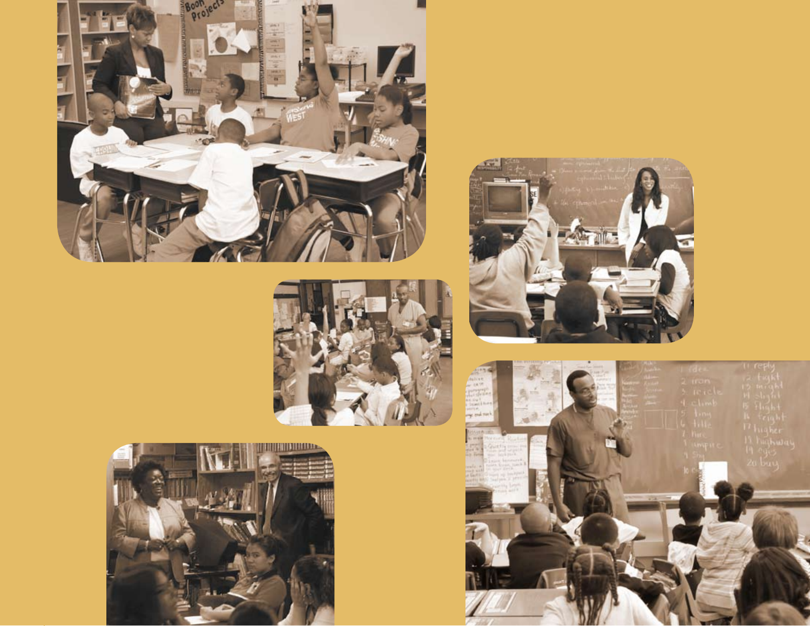